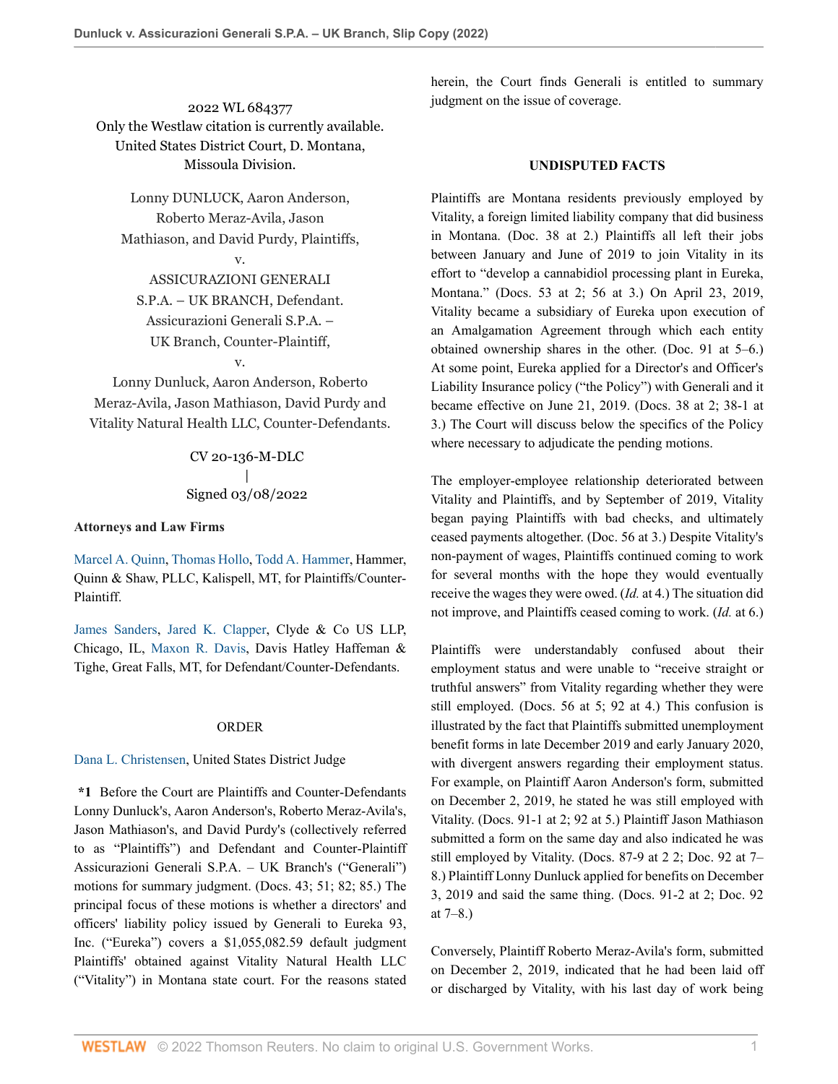2022 WL 684377 Only the Westlaw citation is currently available. United States District Court, D. Montana, Missoula Division.

Lonny DUNLUCK, Aaron Anderson, Roberto Meraz-Avila, Jason Mathiason, and David Purdy, Plaintiffs,

v.

ASSICURAZIONI GENERALI S.P.A. – UK BRANCH, Defendant. Assicurazioni Generali S.P.A. – UK Branch, Counter-Plaintiff,

v.

Lonny Dunluck, Aaron Anderson, Roberto Meraz-Avila, Jason Mathiason, David Purdy and Vitality Natural Health LLC, Counter-Defendants.

> CV 20-136-M-DLC | Signed 03/08/2022

#### **Attorneys and Law Firms**

[Marcel A. Quinn,](http://www.westlaw.com/Link/Document/FullText?findType=h&pubNum=176284&cite=0370723501&originatingDoc=I205a69809f7c11ecb7ceee74f6b36648&refType=RQ&originationContext=document&vr=3.0&rs=cblt1.0&transitionType=DocumentItem&contextData=(sc.AlertsClip)) [Thomas Hollo](http://www.westlaw.com/Link/Document/FullText?findType=h&pubNum=176284&cite=0484117101&originatingDoc=I205a69809f7c11ecb7ceee74f6b36648&refType=RQ&originationContext=document&vr=3.0&rs=cblt1.0&transitionType=DocumentItem&contextData=(sc.AlertsClip)), [Todd A. Hammer,](http://www.westlaw.com/Link/Document/FullText?findType=h&pubNum=176284&cite=0107556001&originatingDoc=I205a69809f7c11ecb7ceee74f6b36648&refType=RQ&originationContext=document&vr=3.0&rs=cblt1.0&transitionType=DocumentItem&contextData=(sc.AlertsClip)) Hammer, Quinn & Shaw, PLLC, Kalispell, MT, for Plaintiffs/Counter-Plaintiff.

[James Sanders,](http://www.westlaw.com/Link/Document/FullText?findType=h&pubNum=176284&cite=0381519101&originatingDoc=I205a69809f7c11ecb7ceee74f6b36648&refType=RQ&originationContext=document&vr=3.0&rs=cblt1.0&transitionType=DocumentItem&contextData=(sc.AlertsClip)) [Jared K. Clapper,](http://www.westlaw.com/Link/Document/FullText?findType=h&pubNum=176284&cite=0389111601&originatingDoc=I205a69809f7c11ecb7ceee74f6b36648&refType=RQ&originationContext=document&vr=3.0&rs=cblt1.0&transitionType=DocumentItem&contextData=(sc.AlertsClip)) Clyde & Co US LLP, Chicago, IL, [Maxon R. Davis,](http://www.westlaw.com/Link/Document/FullText?findType=h&pubNum=176284&cite=0145633501&originatingDoc=I205a69809f7c11ecb7ceee74f6b36648&refType=RQ&originationContext=document&vr=3.0&rs=cblt1.0&transitionType=DocumentItem&contextData=(sc.AlertsClip)) Davis Hatley Haffeman & Tighe, Great Falls, MT, for Defendant/Counter-Defendants.

#### ORDER

## [Dana L. Christensen,](http://www.westlaw.com/Link/Document/FullText?findType=h&pubNum=176284&cite=0342296401&originatingDoc=I205a69809f7c11ecb7ceee74f6b36648&refType=RQ&originationContext=document&vr=3.0&rs=cblt1.0&transitionType=DocumentItem&contextData=(sc.AlertsClip)) United States District Judge

**\*1** Before the Court are Plaintiffs and Counter-Defendants Lonny Dunluck's, Aaron Anderson's, Roberto Meraz-Avila's, Jason Mathiason's, and David Purdy's (collectively referred to as "Plaintiffs") and Defendant and Counter-Plaintiff Assicurazioni Generali S.P.A. – UK Branch's ("Generali") motions for summary judgment. (Docs. 43; 51; 82; 85.) The principal focus of these motions is whether a directors' and officers' liability policy issued by Generali to Eureka 93, Inc. ("Eureka") covers a \$1,055,082.59 default judgment Plaintiffs' obtained against Vitality Natural Health LLC ("Vitality") in Montana state court. For the reasons stated

herein, the Court finds Generali is entitled to summary judgment on the issue of coverage.

#### **UNDISPUTED FACTS**

Plaintiffs are Montana residents previously employed by Vitality, a foreign limited liability company that did business in Montana. (Doc. 38 at 2.) Plaintiffs all left their jobs between January and June of 2019 to join Vitality in its effort to "develop a cannabidiol processing plant in Eureka, Montana." (Docs. 53 at 2; 56 at 3.) On April 23, 2019, Vitality became a subsidiary of Eureka upon execution of an Amalgamation Agreement through which each entity obtained ownership shares in the other. (Doc. 91 at 5–6.) At some point, Eureka applied for a Director's and Officer's Liability Insurance policy ("the Policy") with Generali and it became effective on June 21, 2019. (Docs. 38 at 2; 38-1 at 3.) The Court will discuss below the specifics of the Policy where necessary to adjudicate the pending motions.

The employer-employee relationship deteriorated between Vitality and Plaintiffs, and by September of 2019, Vitality began paying Plaintiffs with bad checks, and ultimately ceased payments altogether. (Doc. 56 at 3.) Despite Vitality's non-payment of wages, Plaintiffs continued coming to work for several months with the hope they would eventually receive the wages they were owed. (*Id.* at 4.) The situation did not improve, and Plaintiffs ceased coming to work. (*Id.* at 6.)

Plaintiffs were understandably confused about their employment status and were unable to "receive straight or truthful answers" from Vitality regarding whether they were still employed. (Docs. 56 at 5; 92 at 4.) This confusion is illustrated by the fact that Plaintiffs submitted unemployment benefit forms in late December 2019 and early January 2020, with divergent answers regarding their employment status. For example, on Plaintiff Aaron Anderson's form, submitted on December 2, 2019, he stated he was still employed with Vitality. (Docs. 91-1 at 2; 92 at 5.) Plaintiff Jason Mathiason submitted a form on the same day and also indicated he was still employed by Vitality. (Docs. 87-9 at 2 2; Doc. 92 at 7– 8.) Plaintiff Lonny Dunluck applied for benefits on December 3, 2019 and said the same thing. (Docs. 91-2 at 2; Doc. 92 at 7–8.)

Conversely, Plaintiff Roberto Meraz-Avila's form, submitted on December 2, 2019, indicated that he had been laid off or discharged by Vitality, with his last day of work being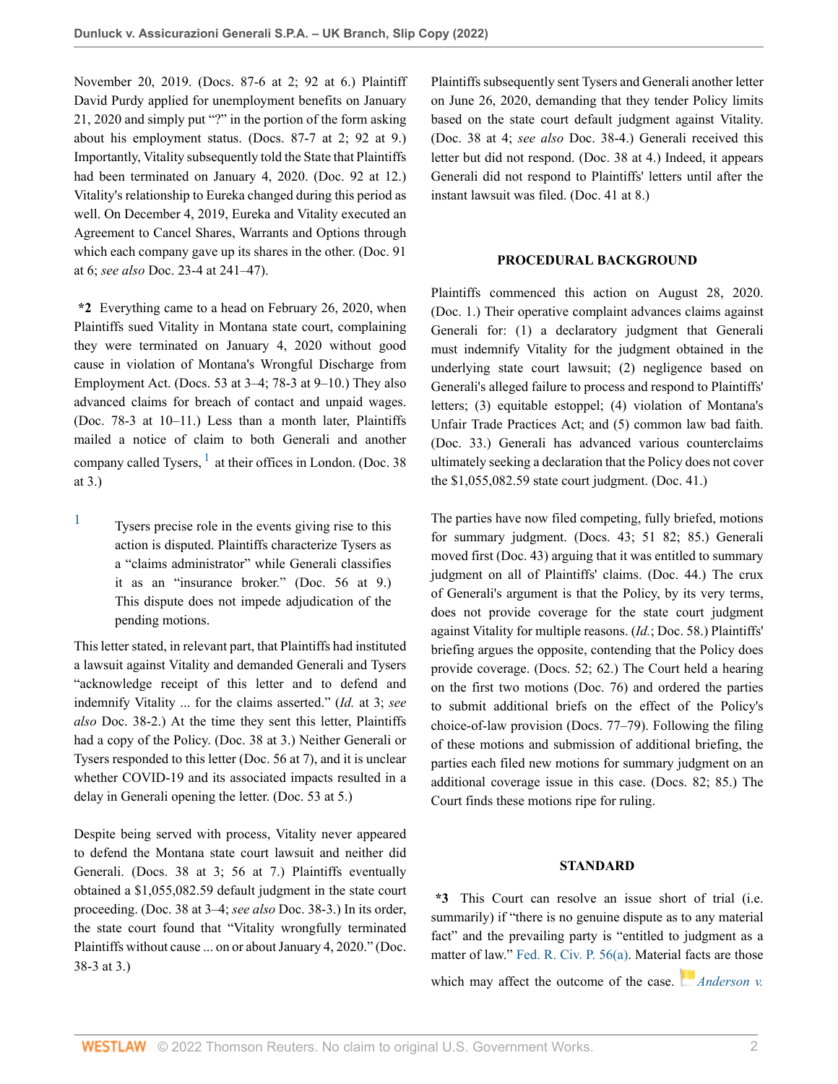November 20, 2019. (Docs. 87-6 at 2; 92 at 6.) Plaintiff David Purdy applied for unemployment benefits on January 21, 2020 and simply put "?" in the portion of the form asking about his employment status. (Docs. 87-7 at 2; 92 at 9.) Importantly, Vitality subsequently told the State that Plaintiffs had been terminated on January 4, 2020. (Doc. 92 at 12.) Vitality's relationship to Eureka changed during this period as well. On December 4, 2019, Eureka and Vitality executed an Agreement to Cancel Shares, Warrants and Options through which each company gave up its shares in the other. (Doc. 91 at 6; *see also* Doc. 23-4 at 241–47).

**\*2** Everything came to a head on February 26, 2020, when Plaintiffs sued Vitality in Montana state court, complaining they were terminated on January 4, 2020 without good cause in violation of Montana's Wrongful Discharge from Employment Act. (Docs. 53 at 3–4; 78-3 at 9–10.) They also advanced claims for breach of contact and unpaid wages. (Doc. 78-3 at 10–11.) Less than a month later, Plaintiffs mailed a notice of claim to both Generali and another company called Tysers,  $<sup>1</sup>$  $<sup>1</sup>$  $<sup>1</sup>$  at their offices in London. (Doc. 38)</sup> at 3.)

<span id="page-1-1"></span><span id="page-1-0"></span>[1](#page-1-1) Tysers precise role in the events giving rise to this action is disputed. Plaintiffs characterize Tysers as a "claims administrator" while Generali classifies it as an "insurance broker." (Doc. 56 at 9.) This dispute does not impede adjudication of the pending motions.

This letter stated, in relevant part, that Plaintiffs had instituted a lawsuit against Vitality and demanded Generali and Tysers "acknowledge receipt of this letter and to defend and indemnify Vitality ... for the claims asserted." (*Id.* at 3; *see also* Doc. 38-2.) At the time they sent this letter, Plaintiffs had a copy of the Policy. (Doc. 38 at 3.) Neither Generali or Tysers responded to this letter (Doc. 56 at 7), and it is unclear whether COVID-19 and its associated impacts resulted in a delay in Generali opening the letter. (Doc. 53 at 5.)

Despite being served with process, Vitality never appeared to defend the Montana state court lawsuit and neither did Generali. (Docs. 38 at 3; 56 at 7.) Plaintiffs eventually obtained a \$1,055,082.59 default judgment in the state court proceeding. (Doc. 38 at 3–4; *see also* Doc. 38-3.) In its order, the state court found that "Vitality wrongfully terminated Plaintiffs without cause ... on or about January 4, 2020." (Doc. 38-3 at 3.)

Plaintiffs subsequently sent Tysers and Generali another letter on June 26, 2020, demanding that they tender Policy limits based on the state court default judgment against Vitality. (Doc. 38 at 4; *see also* Doc. 38-4.) Generali received this letter but did not respond. (Doc. 38 at 4.) Indeed, it appears Generali did not respond to Plaintiffs' letters until after the instant lawsuit was filed. (Doc. 41 at 8.)

### **PROCEDURAL BACKGROUND**

Plaintiffs commenced this action on August 28, 2020. (Doc. 1.) Their operative complaint advances claims against Generali for: (1) a declaratory judgment that Generali must indemnify Vitality for the judgment obtained in the underlying state court lawsuit; (2) negligence based on Generali's alleged failure to process and respond to Plaintiffs' letters; (3) equitable estoppel; (4) violation of Montana's Unfair Trade Practices Act; and (5) common law bad faith. (Doc. 33.) Generali has advanced various counterclaims ultimately seeking a declaration that the Policy does not cover the \$1,055,082.59 state court judgment. (Doc. 41.)

The parties have now filed competing, fully briefed, motions for summary judgment. (Docs. 43; 51 82; 85.) Generali moved first (Doc. 43) arguing that it was entitled to summary judgment on all of Plaintiffs' claims. (Doc. 44.) The crux of Generali's argument is that the Policy, by its very terms, does not provide coverage for the state court judgment against Vitality for multiple reasons. (*Id.*; Doc. 58.) Plaintiffs' briefing argues the opposite, contending that the Policy does provide coverage. (Docs. 52; 62.) The Court held a hearing on the first two motions (Doc. 76) and ordered the parties to submit additional briefs on the effect of the Policy's choice-of-law provision (Docs. 77–79). Following the filing of these motions and submission of additional briefing, the parties each filed new motions for summary judgment on an additional coverage issue in this case. (Docs. 82; 85.) The Court finds these motions ripe for ruling.

## **STANDARD**

**\*3** This Court can resolve an issue short of trial (i.e. summarily) if "there is no genuine dispute as to any material fact" and the prevailing party is "entitled to judgment as a matter of law." [Fed. R. Civ. P. 56\(a\).](http://www.westlaw.com/Link/Document/FullText?findType=L&pubNum=1000600&cite=USFRCPR56&originatingDoc=I205a69809f7c11ecb7ceee74f6b36648&refType=LQ&originationContext=document&vr=3.0&rs=cblt1.0&transitionType=DocumentItem&contextData=(sc.AlertsClip)) Materia[l fac](https://1.next.westlaw.com/Link/RelatedInformation/Flag?documentGuid=I3a8518e29c9d11d991d0cc6b54f12d4d&transitionType=InlineKeyCiteFlags&originationContext=docHeaderFlag&Rank=0&ppcid=744b777ddd0e45dc953f37040da3e191&contextData=(sc.AlertsClip) )ts are those which may affect the outcome of the case. *[Anderson v.](http://www.westlaw.com/Link/Document/FullText?findType=Y&serNum=1986132674&pubNum=0000780&originatingDoc=I205a69809f7c11ecb7ceee74f6b36648&refType=RP&fi=co_pp_sp_780_248&originationContext=document&vr=3.0&rs=cblt1.0&transitionType=DocumentItem&contextData=(sc.AlertsClip)#co_pp_sp_780_248)*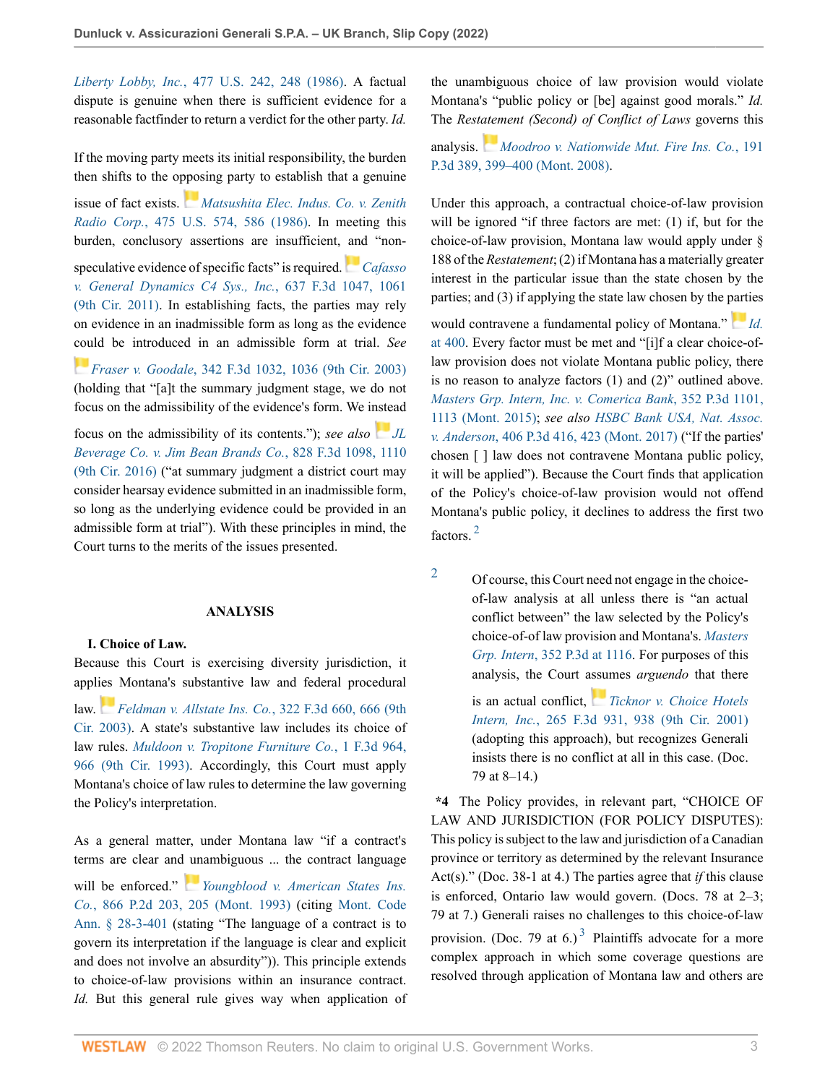*Liberty Lobby, Inc.*[, 477 U.S. 242, 248 \(1986\)](http://www.westlaw.com/Link/Document/FullText?findType=Y&serNum=1986132674&pubNum=0000780&originatingDoc=I205a69809f7c11ecb7ceee74f6b36648&refType=RP&fi=co_pp_sp_780_248&originationContext=document&vr=3.0&rs=cblt1.0&transitionType=DocumentItem&contextData=(sc.AlertsClip)#co_pp_sp_780_248). A factual dispute is genuine when there is sufficient evidence for a reasonable factfinder to return a verdict for the other party. *Id.*

If the moving party meets its initial responsibility, the burden then shifts to the o[ppos](https://1.next.westlaw.com/Link/RelatedInformation/Flag?documentGuid=I1d196aaa9c9711d993e6d35cc61aab4a&transitionType=InlineKeyCiteFlags&originationContext=docHeaderFlag&Rank=0&ppcid=744b777ddd0e45dc953f37040da3e191&contextData=(sc.AlertsClip) )ing party to establish that a genuine

issue of fact exists. *[Matsushita Elec. Indus. Co. v. Zenith](http://www.westlaw.com/Link/Document/FullText?findType=Y&serNum=1986115992&pubNum=0000780&originatingDoc=I205a69809f7c11ecb7ceee74f6b36648&refType=RP&fi=co_pp_sp_780_586&originationContext=document&vr=3.0&rs=cblt1.0&transitionType=DocumentItem&contextData=(sc.AlertsClip)#co_pp_sp_780_586) Radio Corp.*[, 475 U.S. 574, 586 \(1986\).](http://www.westlaw.com/Link/Document/FullText?findType=Y&serNum=1986115992&pubNum=0000780&originatingDoc=I205a69809f7c11ecb7ceee74f6b36648&refType=RP&fi=co_pp_sp_780_586&originationContext=document&vr=3.0&rs=cblt1.0&transitionType=DocumentItem&contextData=(sc.AlertsClip)#co_pp_sp_780_586) In meeting this burden, conclusory assertions are insufficient, and "nonspeculative evidence of specific facts" is required.*[Cafasso](http://www.westlaw.com/Link/Document/FullText?findType=Y&serNum=2024859050&pubNum=0000506&originatingDoc=I205a69809f7c11ecb7ceee74f6b36648&refType=RP&fi=co_pp_sp_506_1061&originationContext=document&vr=3.0&rs=cblt1.0&transitionType=DocumentItem&contextData=(sc.AlertsClip)#co_pp_sp_506_1061) [v. General Dynamics C4 Sys., Inc.](http://www.westlaw.com/Link/Document/FullText?findType=Y&serNum=2024859050&pubNum=0000506&originatingDoc=I205a69809f7c11ecb7ceee74f6b36648&refType=RP&fi=co_pp_sp_506_1061&originationContext=document&vr=3.0&rs=cblt1.0&transitionType=DocumentItem&contextData=(sc.AlertsClip)#co_pp_sp_506_1061)*, 637 F.3d 1047, 1061 [\(9th Cir. 2011\)](http://www.westlaw.com/Link/Document/FullText?findType=Y&serNum=2024859050&pubNum=0000506&originatingDoc=I205a69809f7c11ecb7ceee74f6b36648&refType=RP&fi=co_pp_sp_506_1061&originationContext=document&vr=3.0&rs=cblt1.0&transitionType=DocumentItem&contextData=(sc.AlertsClip)#co_pp_sp_506_1061). In establishing facts, the parties may rely on evidence in an inadmissible form as long as the evidence [cou](https://1.next.westlaw.com/Link/RelatedInformation/Flag?documentGuid=Ibb3801b289eb11d9903eeb4634b8d78e&transitionType=InlineKeyCiteFlags&originationContext=docHeaderFlag&Rank=0&ppcid=744b777ddd0e45dc953f37040da3e191&contextData=(sc.AlertsClip) )ld be introduced in an admissible form at trial. *See Fraser v. Goodale*[, 342 F.3d 1032, 1036 \(9th Cir. 2003\)](http://www.westlaw.com/Link/Document/FullText?findType=Y&serNum=2003612185&pubNum=0000506&originatingDoc=I205a69809f7c11ecb7ceee74f6b36648&refType=RP&fi=co_pp_sp_506_1036&originationContext=document&vr=3.0&rs=cblt1.0&transitionType=DocumentItem&contextData=(sc.AlertsClip)#co_pp_sp_506_1036)

(holding that "[a]t the summary judgment stage, we do not focus on the admissibility of the evidence's form. We i[nste](https://1.next.westlaw.com/Link/RelatedInformation/Flag?documentGuid=I03fb01804a6611e68a49905015f0787e&transitionType=InlineKeyCiteFlags&originationContext=docHeaderFlag&Rank=0&ppcid=744b777ddd0e45dc953f37040da3e191&contextData=(sc.AlertsClip) )ad

focus on the admissibility of its contents."); *see also [JL](http://www.westlaw.com/Link/Document/FullText?findType=Y&serNum=2039365421&pubNum=0000506&originatingDoc=I205a69809f7c11ecb7ceee74f6b36648&refType=RP&fi=co_pp_sp_506_1110&originationContext=document&vr=3.0&rs=cblt1.0&transitionType=DocumentItem&contextData=(sc.AlertsClip)#co_pp_sp_506_1110) [Beverage Co. v. Jim Bean Brands Co.](http://www.westlaw.com/Link/Document/FullText?findType=Y&serNum=2039365421&pubNum=0000506&originatingDoc=I205a69809f7c11ecb7ceee74f6b36648&refType=RP&fi=co_pp_sp_506_1110&originationContext=document&vr=3.0&rs=cblt1.0&transitionType=DocumentItem&contextData=(sc.AlertsClip)#co_pp_sp_506_1110)*, 828 F.3d 1098, 1110 [\(9th Cir. 2016\)](http://www.westlaw.com/Link/Document/FullText?findType=Y&serNum=2039365421&pubNum=0000506&originatingDoc=I205a69809f7c11ecb7ceee74f6b36648&refType=RP&fi=co_pp_sp_506_1110&originationContext=document&vr=3.0&rs=cblt1.0&transitionType=DocumentItem&contextData=(sc.AlertsClip)#co_pp_sp_506_1110) ("at summary judgment a district court may consider hearsay evidence submitted in an inadmissible form, so long as the underlying evidence could be provided in an admissible form at trial"). With these principles in mind, the Court turns to the merits of the issues presented.

## **ANALYSIS**

#### **I. Choice of Law.**

Because this Court is exercising diversity jurisdiction, it appl[ies](https://1.next.westlaw.com/Link/RelatedInformation/Flag?documentGuid=I6895d4cc89c611d9ac45f46c5ea084a3&transitionType=InlineKeyCiteFlags&originationContext=docHeaderFlag&Rank=0&ppcid=744b777ddd0e45dc953f37040da3e191&contextData=(sc.AlertsClip) ) Montana's substantive law and federal procedural

law. *[Feldman v. Allstate Ins. Co.](http://www.westlaw.com/Link/Document/FullText?findType=Y&serNum=2003194256&pubNum=0000506&originatingDoc=I205a69809f7c11ecb7ceee74f6b36648&refType=RP&fi=co_pp_sp_506_666&originationContext=document&vr=3.0&rs=cblt1.0&transitionType=DocumentItem&contextData=(sc.AlertsClip)#co_pp_sp_506_666)*, 322 F.3d 660, 666 (9th [Cir. 2003\).](http://www.westlaw.com/Link/Document/FullText?findType=Y&serNum=2003194256&pubNum=0000506&originatingDoc=I205a69809f7c11ecb7ceee74f6b36648&refType=RP&fi=co_pp_sp_506_666&originationContext=document&vr=3.0&rs=cblt1.0&transitionType=DocumentItem&contextData=(sc.AlertsClip)#co_pp_sp_506_666) A state's substantive law includes its choice of law rules. *[Muldoon v. Tropitone Furniture Co.](http://www.westlaw.com/Link/Document/FullText?findType=Y&serNum=1993167610&pubNum=0000506&originatingDoc=I205a69809f7c11ecb7ceee74f6b36648&refType=RP&fi=co_pp_sp_506_966&originationContext=document&vr=3.0&rs=cblt1.0&transitionType=DocumentItem&contextData=(sc.AlertsClip)#co_pp_sp_506_966)*, 1 F.3d 964, [966 \(9th Cir. 1993\)](http://www.westlaw.com/Link/Document/FullText?findType=Y&serNum=1993167610&pubNum=0000506&originatingDoc=I205a69809f7c11ecb7ceee74f6b36648&refType=RP&fi=co_pp_sp_506_966&originationContext=document&vr=3.0&rs=cblt1.0&transitionType=DocumentItem&contextData=(sc.AlertsClip)#co_pp_sp_506_966). Accordingly, this Court must apply Montana's choice of law rules to determine the law governing the Policy's interpretation.

As a general matter, under Montana law "if a contract's terms are clear and [un](https://1.next.westlaw.com/Link/RelatedInformation/Flag?documentGuid=I412095c9f59f11d9b386b232635db992&transitionType=InlineKeyCiteFlags&originationContext=docHeaderFlag&Rank=0&ppcid=744b777ddd0e45dc953f37040da3e191&contextData=(sc.AlertsClip) )ambiguous ... the contract language

will be enforced." *[Youngblood v. American States Ins.](http://www.westlaw.com/Link/Document/FullText?findType=Y&serNum=1993237017&pubNum=0000661&originatingDoc=I205a69809f7c11ecb7ceee74f6b36648&refType=RP&fi=co_pp_sp_661_205&originationContext=document&vr=3.0&rs=cblt1.0&transitionType=DocumentItem&contextData=(sc.AlertsClip)#co_pp_sp_661_205) Co.*[, 866 P.2d 203, 205 \(Mont. 1993\)](http://www.westlaw.com/Link/Document/FullText?findType=Y&serNum=1993237017&pubNum=0000661&originatingDoc=I205a69809f7c11ecb7ceee74f6b36648&refType=RP&fi=co_pp_sp_661_205&originationContext=document&vr=3.0&rs=cblt1.0&transitionType=DocumentItem&contextData=(sc.AlertsClip)#co_pp_sp_661_205) (citing [Mont. Code](http://www.westlaw.com/Link/Document/FullText?findType=L&pubNum=1002018&cite=MTST28-3-401&originatingDoc=I205a69809f7c11ecb7ceee74f6b36648&refType=LQ&originationContext=document&vr=3.0&rs=cblt1.0&transitionType=DocumentItem&contextData=(sc.AlertsClip)) [Ann. § 28-3-401](http://www.westlaw.com/Link/Document/FullText?findType=L&pubNum=1002018&cite=MTST28-3-401&originatingDoc=I205a69809f7c11ecb7ceee74f6b36648&refType=LQ&originationContext=document&vr=3.0&rs=cblt1.0&transitionType=DocumentItem&contextData=(sc.AlertsClip)) (stating "The language of a contract is to govern its interpretation if the language is clear and explicit and does not involve an absurdity")). This principle extends to choice-of-law provisions within an insurance contract. *Id.* But this general rule gives way when application of the unambiguous choice of law provision would violate Montana's "public policy or [be] against good morals." *Id.* The *Rest[atem](https://1.next.westlaw.com/Link/RelatedInformation/Flag?documentGuid=Ie4f79ec4633611ddb6a3a099756c05b7&transitionType=InlineKeyCiteFlags&originationContext=docHeaderFlag&Rank=0&ppcid=744b777ddd0e45dc953f37040da3e191&contextData=(sc.AlertsClip) )ent (Second) of Conflict of Laws* governs this

analysis. *[Moodroo v. Nationwide Mut. Fire Ins. Co.](http://www.westlaw.com/Link/Document/FullText?findType=Y&serNum=2016689504&pubNum=0004645&originatingDoc=I205a69809f7c11ecb7ceee74f6b36648&refType=RP&fi=co_pp_sp_4645_399&originationContext=document&vr=3.0&rs=cblt1.0&transitionType=DocumentItem&contextData=(sc.AlertsClip)#co_pp_sp_4645_399)*, 191 [P.3d 389, 399–400 \(Mont. 2008\)](http://www.westlaw.com/Link/Document/FullText?findType=Y&serNum=2016689504&pubNum=0004645&originatingDoc=I205a69809f7c11ecb7ceee74f6b36648&refType=RP&fi=co_pp_sp_4645_399&originationContext=document&vr=3.0&rs=cblt1.0&transitionType=DocumentItem&contextData=(sc.AlertsClip)#co_pp_sp_4645_399).

Under this approach, a contractual choice-of-law provision will be ignored "if three factors are met: (1) if, but for the choice-of-law provision, Montana law would apply under § 188 of the *Restatement*; (2) if Montana has a materially greater interest in the particular issue than the state chosen by the parties; and (3) if applying the state law chosen by the [parti](https://1.next.westlaw.com/Link/RelatedInformation/Flag?documentGuid=Ie4f79ec4633611ddb6a3a099756c05b7&transitionType=InlineKeyCiteFlags&originationContext=docHeaderFlag&Rank=0&ppcid=744b777ddd0e45dc953f37040da3e191&contextData=(sc.AlertsClip) )es

would contravene a fundamental policy of Montana." *[Id.](http://www.westlaw.com/Link/Document/FullText?findType=Y&serNum=2016689504&pubNum=0004645&originatingDoc=I205a69809f7c11ecb7ceee74f6b36648&refType=RP&fi=co_pp_sp_4645_400&originationContext=document&vr=3.0&rs=cblt1.0&transitionType=DocumentItem&contextData=(sc.AlertsClip)#co_pp_sp_4645_400)* [at 400](http://www.westlaw.com/Link/Document/FullText?findType=Y&serNum=2016689504&pubNum=0004645&originatingDoc=I205a69809f7c11ecb7ceee74f6b36648&refType=RP&fi=co_pp_sp_4645_400&originationContext=document&vr=3.0&rs=cblt1.0&transitionType=DocumentItem&contextData=(sc.AlertsClip)#co_pp_sp_4645_400). Every factor must be met and "[i]f a clear choice-oflaw provision does not violate Montana public policy, there is no reason to analyze factors (1) and (2)" outlined above. *[Masters Grp. Intern, Inc. v. Comerica Bank](http://www.westlaw.com/Link/Document/FullText?findType=Y&serNum=2036631513&pubNum=0004645&originatingDoc=I205a69809f7c11ecb7ceee74f6b36648&refType=RP&fi=co_pp_sp_4645_1113&originationContext=document&vr=3.0&rs=cblt1.0&transitionType=DocumentItem&contextData=(sc.AlertsClip)#co_pp_sp_4645_1113)*, 352 P.3d 1101, [1113 \(Mont. 2015\)](http://www.westlaw.com/Link/Document/FullText?findType=Y&serNum=2036631513&pubNum=0004645&originatingDoc=I205a69809f7c11ecb7ceee74f6b36648&refType=RP&fi=co_pp_sp_4645_1113&originationContext=document&vr=3.0&rs=cblt1.0&transitionType=DocumentItem&contextData=(sc.AlertsClip)#co_pp_sp_4645_1113); *see also [HSBC Bank USA, Nat. Assoc.](http://www.westlaw.com/Link/Document/FullText?findType=Y&serNum=2042948508&pubNum=0004645&originatingDoc=I205a69809f7c11ecb7ceee74f6b36648&refType=RP&fi=co_pp_sp_4645_423&originationContext=document&vr=3.0&rs=cblt1.0&transitionType=DocumentItem&contextData=(sc.AlertsClip)#co_pp_sp_4645_423) v. Anderson*[, 406 P.3d 416, 423 \(Mont. 2017\)](http://www.westlaw.com/Link/Document/FullText?findType=Y&serNum=2042948508&pubNum=0004645&originatingDoc=I205a69809f7c11ecb7ceee74f6b36648&refType=RP&fi=co_pp_sp_4645_423&originationContext=document&vr=3.0&rs=cblt1.0&transitionType=DocumentItem&contextData=(sc.AlertsClip)#co_pp_sp_4645_423) ("If the parties' chosen [ ] law does not contravene Montana public policy, it will be applied"). Because the Court finds that application of the Policy's choice-of-law provision would not offend Montana's public policy, it declines to address the first two factors. [2](#page-2-0)

<span id="page-2-1"></span><span id="page-2-0"></span>[2](#page-2-1) Of course, this Court need not engage in the choiceof-law analysis at all unless there is "an actual conflict between" the law selected by the Policy's choice-of-of law provision and Montana's. *[Masters](http://www.westlaw.com/Link/Document/FullText?findType=Y&serNum=2036631513&pubNum=0004645&originatingDoc=I205a69809f7c11ecb7ceee74f6b36648&refType=RP&fi=co_pp_sp_4645_1116&originationContext=document&vr=3.0&rs=cblt1.0&transitionType=DocumentItem&contextData=(sc.AlertsClip)#co_pp_sp_4645_1116) Grp. Intern*[, 352 P.3d at 1116.](http://www.westlaw.com/Link/Document/FullText?findType=Y&serNum=2036631513&pubNum=0004645&originatingDoc=I205a69809f7c11ecb7ceee74f6b36648&refType=RP&fi=co_pp_sp_4645_1116&originationContext=document&vr=3.0&rs=cblt1.0&transitionType=DocumentItem&contextData=(sc.AlertsClip)#co_pp_sp_4645_1116) For purposes of this analysis, the Court [assum](https://1.next.westlaw.com/Link/RelatedInformation/Flag?documentGuid=I131aacd079bf11d9ac1ffa9f33b6c3b0&transitionType=InlineKeyCiteFlags&originationContext=docHeaderFlag&Rank=0&ppcid=744b777ddd0e45dc953f37040da3e191&contextData=(sc.AlertsClip) )es *arguendo* that there

> is an actual conflict, *[Ticknor v. Choice Hotels](http://www.westlaw.com/Link/Document/FullText?findType=Y&serNum=2001780786&pubNum=0000506&originatingDoc=I205a69809f7c11ecb7ceee74f6b36648&refType=RP&fi=co_pp_sp_506_938&originationContext=document&vr=3.0&rs=cblt1.0&transitionType=DocumentItem&contextData=(sc.AlertsClip)#co_pp_sp_506_938) Intern, Inc.*[, 265 F.3d 931, 938 \(9th Cir. 2001\)](http://www.westlaw.com/Link/Document/FullText?findType=Y&serNum=2001780786&pubNum=0000506&originatingDoc=I205a69809f7c11ecb7ceee74f6b36648&refType=RP&fi=co_pp_sp_506_938&originationContext=document&vr=3.0&rs=cblt1.0&transitionType=DocumentItem&contextData=(sc.AlertsClip)#co_pp_sp_506_938) (adopting this approach), but recognizes Generali insists there is no conflict at all in this case. (Doc. 79 at 8–14.)

<span id="page-2-2"></span>**\*4** The Policy provides, in relevant part, "CHOICE OF LAW AND JURISDICTION (FOR POLICY DISPUTES): This policy is subject to the law and jurisdiction of a Canadian province or territory as determined by the relevant Insurance Act(s)." (Doc. 38-1 at 4.) The parties agree that *if* this clause is enforced, Ontario law would govern. (Docs. 78 at 2–3; 79 at 7.) Generali raises no challenges to this choice-of-law provision. (Doc. 79 at 6.)<sup>[3](#page-3-0)</sup> Plaintiffs advocate for a more complex approach in which some coverage questions are resolved through application of Montana law and others are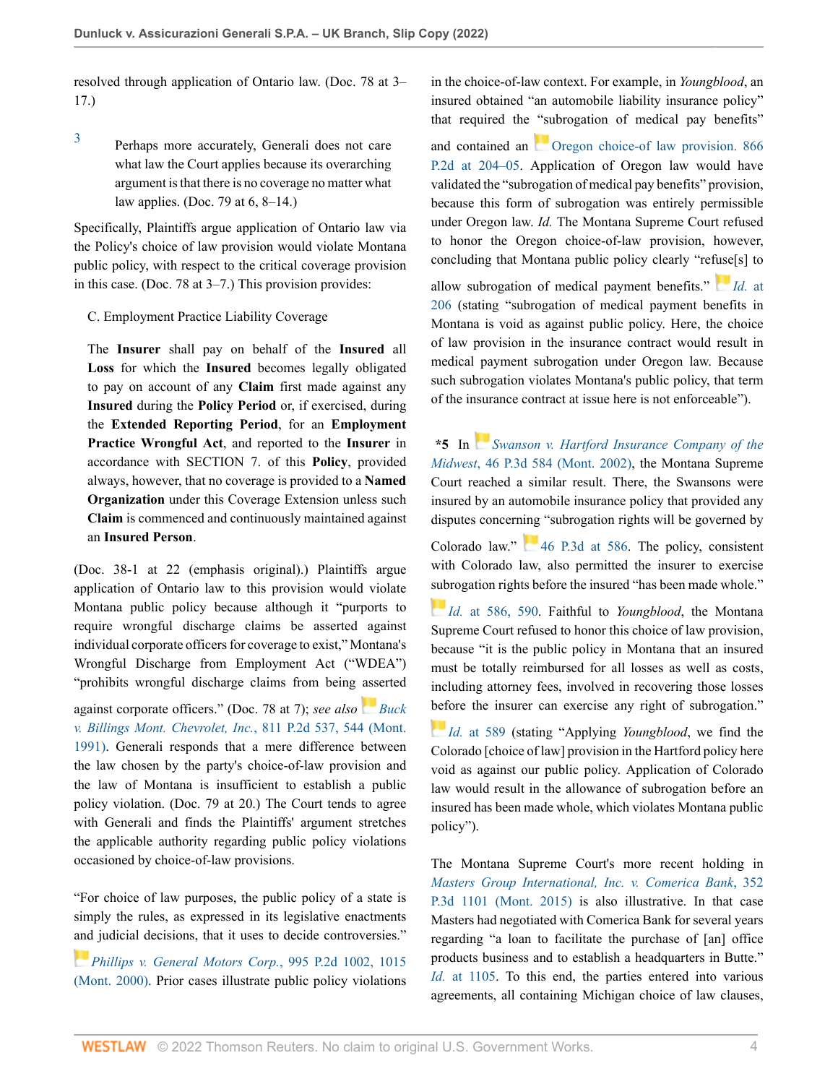resolved through application of Ontario law. (Doc. 78 at 3– 17.)

<span id="page-3-0"></span>[3](#page-2-2)

Perhaps more accurately, Generali does not care what law the Court applies because its overarching argument is that there is no coverage no matter what law applies. (Doc. 79 at 6, 8–14.)

Specifically, Plaintiffs argue application of Ontario law via the Policy's choice of law provision would violate Montana public policy, with respect to the critical coverage provision in this case. (Doc. 78 at 3–7.) This provision provides:

### C. Employment Practice Liability Coverage

The **Insurer** shall pay on behalf of the **Insured** all **Loss** for which the **Insured** becomes legally obligated to pay on account of any **Claim** first made against any **Insured** during the **Policy Period** or, if exercised, during the **Extended Reporting Period**, for an **Employment Practice Wrongful Act**, and reported to the **Insurer** in accordance with SECTION 7. of this **Policy**, provided always, however, that no coverage is provided to a **Named Organization** under this Coverage Extension unless such **Claim** is commenced and continuously maintained against an **Insured Person**.

(Doc. 38-1 at 22 (emphasis original).) Plaintiffs argue application of Ontario law to this provision would violate Montana public policy because although it "purports to require wrongful discharge claims be asserted against individual corporate officers for coverage to exist," Montana's Wrongful Discharge from Employment Act ("WDEA") "prohibits wrongful discharge claims from being [ass](https://1.next.westlaw.com/Link/RelatedInformation/Flag?documentGuid=I783e141cf5aa11d9b386b232635db992&transitionType=InlineKeyCiteFlags&originationContext=docHeaderFlag&Rank=0&ppcid=744b777ddd0e45dc953f37040da3e191&contextData=(sc.AlertsClip) )erted

against corporate officers." (Doc. 78 at 7); *see also [Buck](http://www.westlaw.com/Link/Document/FullText?findType=Y&serNum=1991093672&pubNum=0000661&originatingDoc=I205a69809f7c11ecb7ceee74f6b36648&refType=RP&fi=co_pp_sp_661_544&originationContext=document&vr=3.0&rs=cblt1.0&transitionType=DocumentItem&contextData=(sc.AlertsClip)#co_pp_sp_661_544) [v. Billings Mont. Chevrolet, Inc.](http://www.westlaw.com/Link/Document/FullText?findType=Y&serNum=1991093672&pubNum=0000661&originatingDoc=I205a69809f7c11ecb7ceee74f6b36648&refType=RP&fi=co_pp_sp_661_544&originationContext=document&vr=3.0&rs=cblt1.0&transitionType=DocumentItem&contextData=(sc.AlertsClip)#co_pp_sp_661_544)*, 811 P.2d 537, 544 (Mont. [1991\)](http://www.westlaw.com/Link/Document/FullText?findType=Y&serNum=1991093672&pubNum=0000661&originatingDoc=I205a69809f7c11ecb7ceee74f6b36648&refType=RP&fi=co_pp_sp_661_544&originationContext=document&vr=3.0&rs=cblt1.0&transitionType=DocumentItem&contextData=(sc.AlertsClip)#co_pp_sp_661_544). Generali responds that a mere difference between the law chosen by the party's choice-of-law provision and the law of Montana is insufficient to establish a public policy violation. (Doc. 79 at 20.) The Court tends to agree with Generali and finds the Plaintiffs' argument stretches the applicable authority regarding public policy violations occasioned by choice-of-law provisions.

"For choice of law purposes, the public policy of a state is simply the rules, as expressed in its legislative enactments [and](https://1.next.westlaw.com/Link/RelatedInformation/Flag?documentGuid=If4ea5983f55311d99439b076ef9ec4de&transitionType=InlineKeyCiteFlags&originationContext=docHeaderFlag&Rank=0&ppcid=744b777ddd0e45dc953f37040da3e191&contextData=(sc.AlertsClip) ) judicial decisions, that it uses to decide controversies."

*[Phillips v. General Motors Corp.](http://www.westlaw.com/Link/Document/FullText?findType=Y&serNum=2000069039&pubNum=0000661&originatingDoc=I205a69809f7c11ecb7ceee74f6b36648&refType=RP&fi=co_pp_sp_661_1015&originationContext=document&vr=3.0&rs=cblt1.0&transitionType=DocumentItem&contextData=(sc.AlertsClip)#co_pp_sp_661_1015)*, 995 P.2d 1002, 1015 [\(Mont. 2000\)](http://www.westlaw.com/Link/Document/FullText?findType=Y&serNum=2000069039&pubNum=0000661&originatingDoc=I205a69809f7c11ecb7ceee74f6b36648&refType=RP&fi=co_pp_sp_661_1015&originationContext=document&vr=3.0&rs=cblt1.0&transitionType=DocumentItem&contextData=(sc.AlertsClip)#co_pp_sp_661_1015). Prior cases illustrate public policy violations in the choice-of-law context. For example, in *Youngblood*, an insured obtained "an automobile liability insurance policy" that required the "subrogation of medical pay benefits"

and contained an **Oregon** choice-of law provision. 866 [P.2d at 204–05.](http://www.westlaw.com/Link/Document/FullText?findType=Y&serNum=1993237017&pubNum=0000661&originatingDoc=I205a69809f7c11ecb7ceee74f6b36648&refType=RP&fi=co_pp_sp_661_204&originationContext=document&vr=3.0&rs=cblt1.0&transitionType=DocumentItem&contextData=(sc.AlertsClip)#co_pp_sp_661_204) Application of Oregon law would have validated the "subrogation of medical pay benefits" provision, because this form of subrogation was entirely permissible under Oregon law. *Id.* The Montana Supreme Court refused to honor the Oregon choice-of-law provision, however, concluding that Montana public policy clearly "ref[use](https://1.next.westlaw.com/Link/RelatedInformation/Flag?documentGuid=I412095c9f59f11d9b386b232635db992&transitionType=InlineKeyCiteFlags&originationContext=docHeaderFlag&Rank=0&ppcid=744b777ddd0e45dc953f37040da3e191&contextData=(sc.AlertsClip) )[s] to

allow subrogation of medical payment benefits." *Id.* [at](http://www.westlaw.com/Link/Document/FullText?findType=Y&serNum=1993237017&pubNum=0000661&originatingDoc=I205a69809f7c11ecb7ceee74f6b36648&refType=RP&fi=co_pp_sp_661_206&originationContext=document&vr=3.0&rs=cblt1.0&transitionType=DocumentItem&contextData=(sc.AlertsClip)#co_pp_sp_661_206) [206](http://www.westlaw.com/Link/Document/FullText?findType=Y&serNum=1993237017&pubNum=0000661&originatingDoc=I205a69809f7c11ecb7ceee74f6b36648&refType=RP&fi=co_pp_sp_661_206&originationContext=document&vr=3.0&rs=cblt1.0&transitionType=DocumentItem&contextData=(sc.AlertsClip)#co_pp_sp_661_206) (stating "subrogation of medical payment benefits in Montana is void as against public policy. Here, the choice of law provision in the insurance contract would result in medical payment subrogation under Oregon law. Because such subrogation violates Montana's public policy, that term of the insurance contract at issue here is not enforceable").

**\*5** In *[Swanson v. Hartford Insurance Company of the](http://www.westlaw.com/Link/Document/FullText?findType=Y&serNum=2002273675&pubNum=0004645&originatingDoc=I205a69809f7c11ecb7ceee74f6b36648&refType=RP&originationContext=document&vr=3.0&rs=cblt1.0&transitionType=DocumentItem&contextData=(sc.AlertsClip)) Midwest*[, 46 P.3d 584 \(Mont. 2002\),](http://www.westlaw.com/Link/Document/FullText?findType=Y&serNum=2002273675&pubNum=0004645&originatingDoc=I205a69809f7c11ecb7ceee74f6b36648&refType=RP&originationContext=document&vr=3.0&rs=cblt1.0&transitionType=DocumentItem&contextData=(sc.AlertsClip)) the Montana Supreme Court reached a similar result. There, the Swansons were insured by an automobile insurance policy that provided any disputes concerning "subrogation rights will be governed by

Colorado law."  $46$  P.3d at 586. The policy, consistent with Colorado law, also permitted the insurer to exercise [sub](https://1.next.westlaw.com/Link/RelatedInformation/Flag?documentGuid=Ia25749eef53d11d9bf60c1d57ebc853e&transitionType=InlineKeyCiteFlags&originationContext=docHeaderFlag&Rank=0&ppcid=744b777ddd0e45dc953f37040da3e191&contextData=(sc.AlertsClip) )rogation rights before the insured "has been made whole."

*Id.* [at 586, 590](http://www.westlaw.com/Link/Document/FullText?findType=Y&serNum=2002273675&pubNum=0004645&originatingDoc=I205a69809f7c11ecb7ceee74f6b36648&refType=RP&fi=co_pp_sp_4645_586&originationContext=document&vr=3.0&rs=cblt1.0&transitionType=DocumentItem&contextData=(sc.AlertsClip)#co_pp_sp_4645_586). Faithful to *Youngblood*, the Montana Supreme Court refused to honor this choice of law provision, because "it is the public policy in Montana that an insured must be totally reimbursed for all losses as well as costs, including attorney fees, involved in recovering those losses [befo](https://1.next.westlaw.com/Link/RelatedInformation/Flag?documentGuid=Ia25749eef53d11d9bf60c1d57ebc853e&transitionType=InlineKeyCiteFlags&originationContext=docHeaderFlag&Rank=0&ppcid=744b777ddd0e45dc953f37040da3e191&contextData=(sc.AlertsClip) )re the insurer can exercise any right of subrogation."

*Id.* [at 589](http://www.westlaw.com/Link/Document/FullText?findType=Y&serNum=2002273675&pubNum=0004645&originatingDoc=I205a69809f7c11ecb7ceee74f6b36648&refType=RP&fi=co_pp_sp_4645_589&originationContext=document&vr=3.0&rs=cblt1.0&transitionType=DocumentItem&contextData=(sc.AlertsClip)#co_pp_sp_4645_589) (stating "Applying *Youngblood*, we find the Colorado [choice of law] provision in the Hartford policy here void as against our public policy. Application of Colorado law would result in the allowance of subrogation before an insured has been made whole, which violates Montana public policy").

The Montana Supreme Court's more recent holding in *[Masters Group International, Inc. v. Comerica Bank](http://www.westlaw.com/Link/Document/FullText?findType=Y&serNum=2036631513&pubNum=0004645&originatingDoc=I205a69809f7c11ecb7ceee74f6b36648&refType=RP&originationContext=document&vr=3.0&rs=cblt1.0&transitionType=DocumentItem&contextData=(sc.AlertsClip))*, 352 [P.3d 1101 \(Mont. 2015\)](http://www.westlaw.com/Link/Document/FullText?findType=Y&serNum=2036631513&pubNum=0004645&originatingDoc=I205a69809f7c11ecb7ceee74f6b36648&refType=RP&originationContext=document&vr=3.0&rs=cblt1.0&transitionType=DocumentItem&contextData=(sc.AlertsClip)) is also illustrative. In that case Masters had negotiated with Comerica Bank for several years regarding "a loan to facilitate the purchase of [an] office products business and to establish a headquarters in Butte." *Id.* [at 1105](http://www.westlaw.com/Link/Document/FullText?findType=Y&serNum=2036631513&pubNum=0004645&originatingDoc=I205a69809f7c11ecb7ceee74f6b36648&refType=RP&fi=co_pp_sp_4645_1105&originationContext=document&vr=3.0&rs=cblt1.0&transitionType=DocumentItem&contextData=(sc.AlertsClip)#co_pp_sp_4645_1105). To this end, the parties entered into various agreements, all containing Michigan choice of law clauses,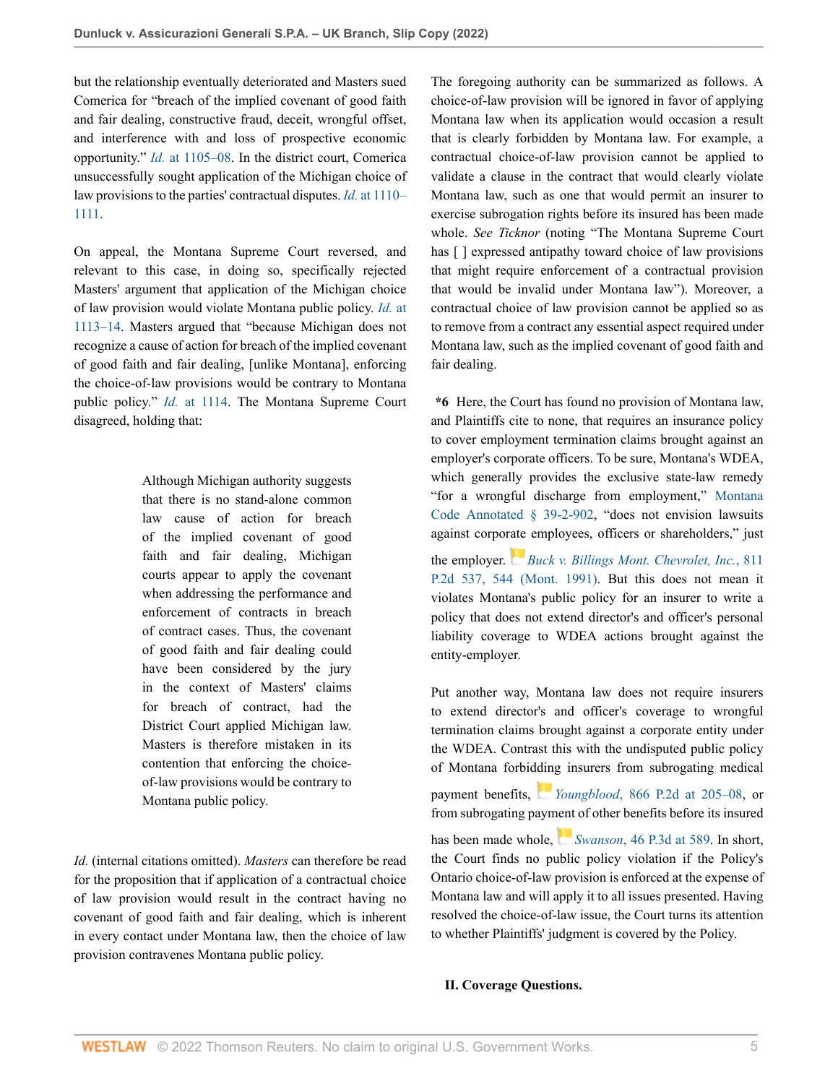but the relationship eventually deteriorated and Masters sued Comerica for "breach of the implied covenant of good faith and fair dealing, constructive fraud, deceit, wrongful offset, and interference with and loss of prospective economic opportunity." *Id.* [at 1105–08.](http://www.westlaw.com/Link/Document/FullText?findType=Y&serNum=2036631513&pubNum=0004645&originatingDoc=I205a69809f7c11ecb7ceee74f6b36648&refType=RP&fi=co_pp_sp_4645_1105&originationContext=document&vr=3.0&rs=cblt1.0&transitionType=DocumentItem&contextData=(sc.AlertsClip)#co_pp_sp_4645_1105) In the district court, Comerica unsuccessfully sought application of the Michigan choice of law provisions to the parties' contractual disputes. *Id.* [at 1110–](http://www.westlaw.com/Link/Document/FullText?findType=Y&serNum=2036631513&pubNum=0004645&originatingDoc=I205a69809f7c11ecb7ceee74f6b36648&refType=RP&fi=co_pp_sp_4645_1110&originationContext=document&vr=3.0&rs=cblt1.0&transitionType=DocumentItem&contextData=(sc.AlertsClip)#co_pp_sp_4645_1110) [1111.](http://www.westlaw.com/Link/Document/FullText?findType=Y&serNum=2036631513&pubNum=0004645&originatingDoc=I205a69809f7c11ecb7ceee74f6b36648&refType=RP&fi=co_pp_sp_4645_1110&originationContext=document&vr=3.0&rs=cblt1.0&transitionType=DocumentItem&contextData=(sc.AlertsClip)#co_pp_sp_4645_1110)

On appeal, the Montana Supreme Court reversed, and relevant to this case, in doing so, specifically rejected Masters' argument that application of the Michigan choice of law provision would violate Montana public policy. *[Id.](http://www.westlaw.com/Link/Document/FullText?findType=Y&serNum=2036631513&pubNum=0004645&originatingDoc=I205a69809f7c11ecb7ceee74f6b36648&refType=RP&fi=co_pp_sp_4645_1113&originationContext=document&vr=3.0&rs=cblt1.0&transitionType=DocumentItem&contextData=(sc.AlertsClip)#co_pp_sp_4645_1113)* at [1113–14](http://www.westlaw.com/Link/Document/FullText?findType=Y&serNum=2036631513&pubNum=0004645&originatingDoc=I205a69809f7c11ecb7ceee74f6b36648&refType=RP&fi=co_pp_sp_4645_1113&originationContext=document&vr=3.0&rs=cblt1.0&transitionType=DocumentItem&contextData=(sc.AlertsClip)#co_pp_sp_4645_1113). Masters argued that "because Michigan does not recognize a cause of action for breach of the implied covenant of good faith and fair dealing, [unlike Montana], enforcing the choice-of-law provisions would be contrary to Montana public policy." *Id.* [at 1114](http://www.westlaw.com/Link/Document/FullText?findType=Y&serNum=2036631513&pubNum=0004645&originatingDoc=I205a69809f7c11ecb7ceee74f6b36648&refType=RP&fi=co_pp_sp_4645_1114&originationContext=document&vr=3.0&rs=cblt1.0&transitionType=DocumentItem&contextData=(sc.AlertsClip)#co_pp_sp_4645_1114). The Montana Supreme Court disagreed, holding that:

> Although Michigan authority suggests that there is no stand-alone common law cause of action for breach of the implied covenant of good faith and fair dealing, Michigan courts appear to apply the covenant when addressing the performance and enforcement of contracts in breach of contract cases. Thus, the covenant of good faith and fair dealing could have been considered by the jury in the context of Masters' claims for breach of contract, had the District Court applied Michigan law. Masters is therefore mistaken in its contention that enforcing the choiceof-law provisions would be contrary to Montana public policy.

*Id.* (internal citations omitted). *Masters* can therefore be read for the proposition that if application of a contractual choice of law provision would result in the contract having no covenant of good faith and fair dealing, which is inherent in every contact under Montana law, then the choice of law provision contravenes Montana public policy.

The foregoing authority can be summarized as follows. A choice-of-law provision will be ignored in favor of applying Montana law when its application would occasion a result that is clearly forbidden by Montana law. For example, a contractual choice-of-law provision cannot be applied to validate a clause in the contract that would clearly violate Montana law, such as one that would permit an insurer to exercise subrogation rights before its insured has been made whole. *See Ticknor* (noting "The Montana Supreme Court has  $\lceil \cdot \rceil$  expressed antipathy toward choice of law provisions that might require enforcement of a contractual provision that would be invalid under Montana law"). Moreover, a contractual choice of law provision cannot be applied so as to remove from a contract any essential aspect required under Montana law, such as the implied covenant of good faith and fair dealing.

**\*6** Here, the Court has found no provision of Montana law, and Plaintiffs cite to none, that requires an insurance policy to cover employment termination claims brought against an employer's corporate officers. To be sure, Montana's WDEA, which generally provides the exclusive state-law remedy "for a wrongful discharge from employment," [Montana](http://www.westlaw.com/Link/Document/FullText?findType=L&pubNum=1002018&cite=MTST39-2-902&originatingDoc=I205a69809f7c11ecb7ceee74f6b36648&refType=LQ&originationContext=document&vr=3.0&rs=cblt1.0&transitionType=DocumentItem&contextData=(sc.AlertsClip)) [Code Annotated § 39-2-902,](http://www.westlaw.com/Link/Document/FullText?findType=L&pubNum=1002018&cite=MTST39-2-902&originatingDoc=I205a69809f7c11ecb7ceee74f6b36648&refType=LQ&originationContext=document&vr=3.0&rs=cblt1.0&transitionType=DocumentItem&contextData=(sc.AlertsClip)) "does not envision lawsuits against corpor[ate](https://1.next.westlaw.com/Link/RelatedInformation/Flag?documentGuid=I783e141cf5aa11d9b386b232635db992&transitionType=InlineKeyCiteFlags&originationContext=docHeaderFlag&Rank=0&ppcid=744b777ddd0e45dc953f37040da3e191&contextData=(sc.AlertsClip) ) employees, officers or shareholders," just the employer. *[Buck v. Billings Mont. Chevrolet, Inc.](http://www.westlaw.com/Link/Document/FullText?findType=Y&serNum=1991093672&pubNum=0000661&originatingDoc=I205a69809f7c11ecb7ceee74f6b36648&refType=RP&fi=co_pp_sp_661_544&originationContext=document&vr=3.0&rs=cblt1.0&transitionType=DocumentItem&contextData=(sc.AlertsClip)#co_pp_sp_661_544)*, 811 [P.2d 537, 544 \(Mont. 1991\).](http://www.westlaw.com/Link/Document/FullText?findType=Y&serNum=1991093672&pubNum=0000661&originatingDoc=I205a69809f7c11ecb7ceee74f6b36648&refType=RP&fi=co_pp_sp_661_544&originationContext=document&vr=3.0&rs=cblt1.0&transitionType=DocumentItem&contextData=(sc.AlertsClip)#co_pp_sp_661_544) But this does not mean it violates Montana's public policy for an insurer to write a policy that does not extend director's and officer's personal liability coverage to WDEA actions brought against the entity-employer.

Put another way, Montana law does not require insurers to extend director's and officer's coverage to wrongful termination claims brought against a corporate entity under the WDEA. Contrast this with the undisputed public policy of Montana forbid[din](https://1.next.westlaw.com/Link/RelatedInformation/Flag?documentGuid=I412095c9f59f11d9b386b232635db992&transitionType=InlineKeyCiteFlags&originationContext=docHeaderFlag&Rank=0&ppcid=744b777ddd0e45dc953f37040da3e191&contextData=(sc.AlertsClip) )g insurers from subrogating medical

payment benefits, *Youngblood*[, 866 P.2d at 205–08,](http://www.westlaw.com/Link/Document/FullText?findType=Y&serNum=1993237017&pubNum=0000661&originatingDoc=I205a69809f7c11ecb7ceee74f6b36648&refType=RP&fi=co_pp_sp_661_205&originationContext=document&vr=3.0&rs=cblt1.0&transitionType=DocumentItem&contextData=(sc.AlertsClip)#co_pp_sp_661_205) or from subrogating pay[ment](https://1.next.westlaw.com/Link/RelatedInformation/Flag?documentGuid=Ia25749eef53d11d9bf60c1d57ebc853e&transitionType=InlineKeyCiteFlags&originationContext=docHeaderFlag&Rank=0&ppcid=744b777ddd0e45dc953f37040da3e191&contextData=(sc.AlertsClip) ) of other benefits before its insured

has been made whole, *Swanson*[, 46 P.3d at 589.](http://www.westlaw.com/Link/Document/FullText?findType=Y&serNum=2002273675&pubNum=0004645&originatingDoc=I205a69809f7c11ecb7ceee74f6b36648&refType=RP&fi=co_pp_sp_4645_589&originationContext=document&vr=3.0&rs=cblt1.0&transitionType=DocumentItem&contextData=(sc.AlertsClip)#co_pp_sp_4645_589) In short, the Court finds no public policy violation if the Policy's Ontario choice-of-law provision is enforced at the expense of Montana law and will apply it to all issues presented. Having resolved the choice-of-law issue, the Court turns its attention to whether Plaintiffs' judgment is covered by the Policy.

#### **II. Coverage Questions.**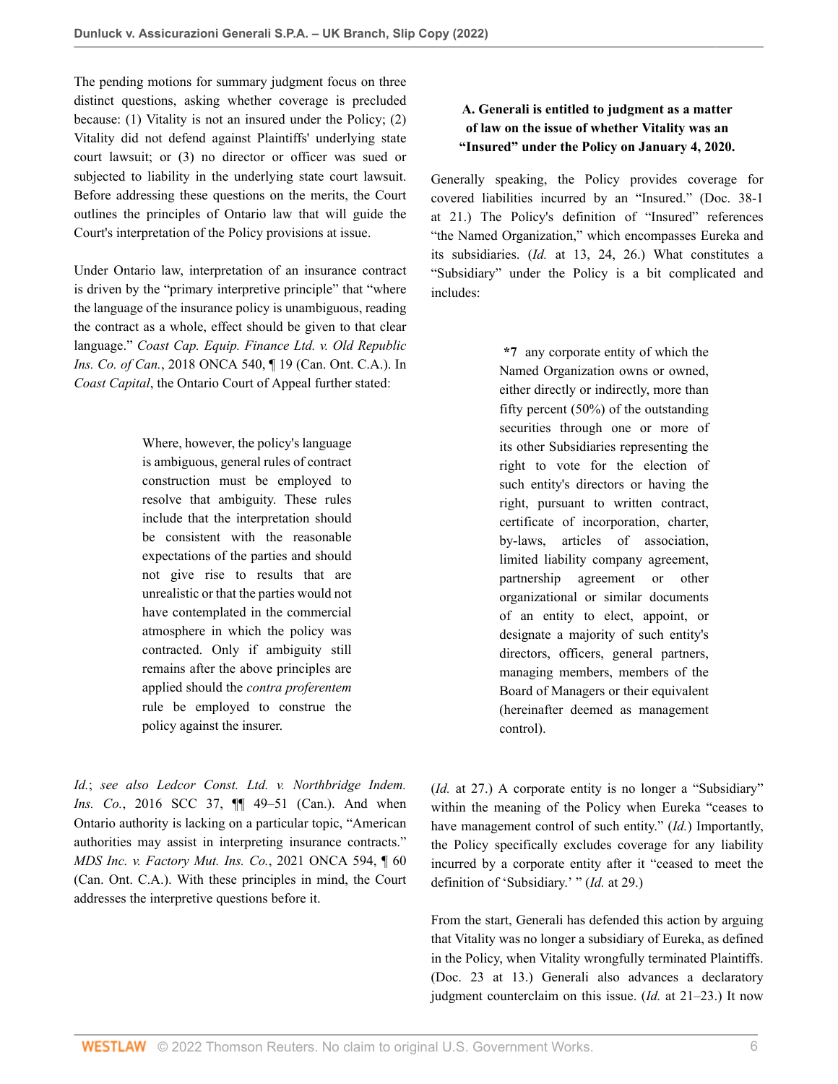The pending motions for summary judgment focus on three distinct questions, asking whether coverage is precluded because: (1) Vitality is not an insured under the Policy; (2) Vitality did not defend against Plaintiffs' underlying state court lawsuit; or (3) no director or officer was sued or subjected to liability in the underlying state court lawsuit. Before addressing these questions on the merits, the Court outlines the principles of Ontario law that will guide the Court's interpretation of the Policy provisions at issue.

Under Ontario law, interpretation of an insurance contract is driven by the "primary interpretive principle" that "where the language of the insurance policy is unambiguous, reading the contract as a whole, effect should be given to that clear language." *Coast Cap. Equip. Finance Ltd. v. Old Republic Ins. Co. of Can.*, 2018 ONCA 540, ¶ 19 (Can. Ont. C.A.). In *Coast Capital*, the Ontario Court of Appeal further stated:

> Where, however, the policy's language is ambiguous, general rules of contract construction must be employed to resolve that ambiguity. These rules include that the interpretation should be consistent with the reasonable expectations of the parties and should not give rise to results that are unrealistic or that the parties would not have contemplated in the commercial atmosphere in which the policy was contracted. Only if ambiguity still remains after the above principles are applied should the *contra proferentem* rule be employed to construe the policy against the insurer.

*Id.*; *see also Ledcor Const. Ltd. v. Northbridge Indem. Ins. Co.*, 2016 SCC 37,  $\P$  49-51 (Can.). And when Ontario authority is lacking on a particular topic, "American authorities may assist in interpreting insurance contracts." *MDS Inc. v. Factory Mut. Ins. Co.*, 2021 ONCA 594, ¶ 60 (Can. Ont. C.A.). With these principles in mind, the Court addresses the interpretive questions before it.

## **A. Generali is entitled to judgment as a matter of law on the issue of whether Vitality was an "Insured" under the Policy on January 4, 2020.**

Generally speaking, the Policy provides coverage for covered liabilities incurred by an "Insured." (Doc. 38-1 at 21.) The Policy's definition of "Insured" references "the Named Organization," which encompasses Eureka and its subsidiaries. (*Id.* at 13, 24, 26.) What constitutes a "Subsidiary" under the Policy is a bit complicated and includes:

> **\*7** any corporate entity of which the Named Organization owns or owned, either directly or indirectly, more than fifty percent (50%) of the outstanding securities through one or more of its other Subsidiaries representing the right to vote for the election of such entity's directors or having the right, pursuant to written contract, certificate of incorporation, charter, by-laws, articles of association, limited liability company agreement, partnership agreement or other organizational or similar documents of an entity to elect, appoint, or designate a majority of such entity's directors, officers, general partners, managing members, members of the Board of Managers or their equivalent (hereinafter deemed as management control).

(*Id.* at 27.) A corporate entity is no longer a "Subsidiary" within the meaning of the Policy when Eureka "ceases to have management control of such entity." (*Id.*) Importantly, the Policy specifically excludes coverage for any liability incurred by a corporate entity after it "ceased to meet the definition of 'Subsidiary.' " (*Id.* at 29.)

From the start, Generali has defended this action by arguing that Vitality was no longer a subsidiary of Eureka, as defined in the Policy, when Vitality wrongfully terminated Plaintiffs. (Doc. 23 at 13.) Generali also advances a declaratory judgment counterclaim on this issue. (*Id.* at 21–23.) It now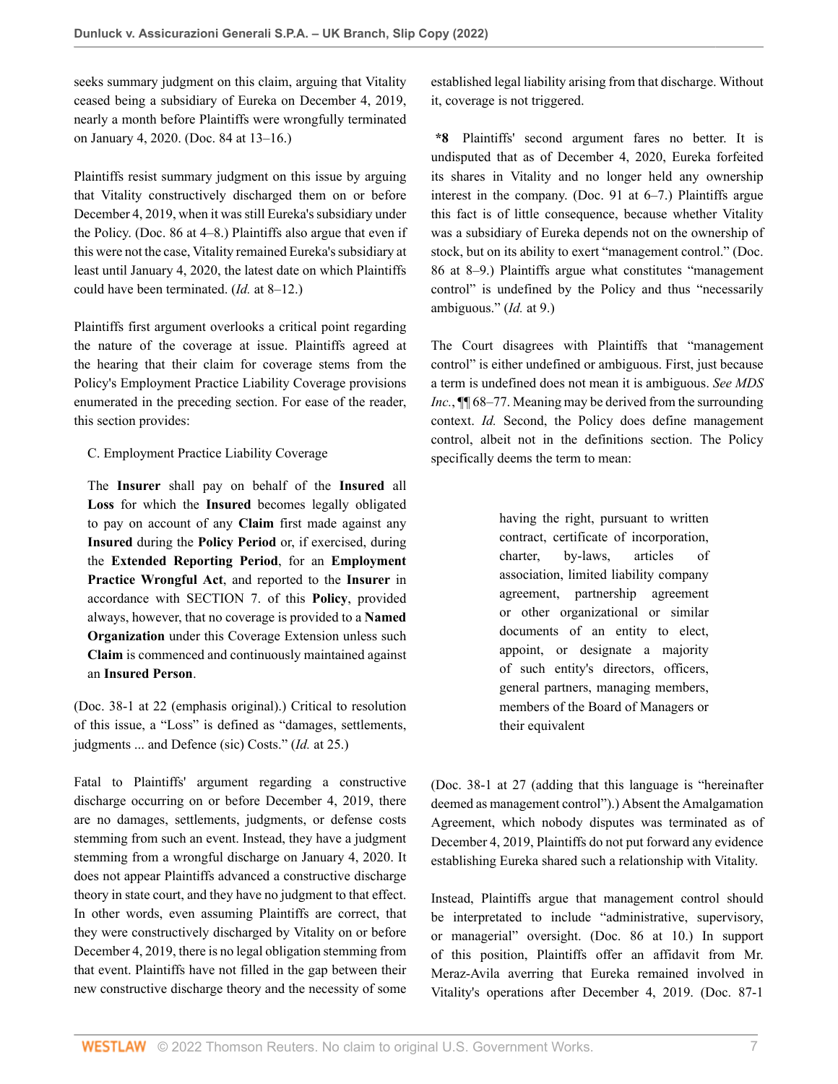seeks summary judgment on this claim, arguing that Vitality ceased being a subsidiary of Eureka on December 4, 2019, nearly a month before Plaintiffs were wrongfully terminated on January 4, 2020. (Doc. 84 at 13–16.)

Plaintiffs resist summary judgment on this issue by arguing that Vitality constructively discharged them on or before December 4, 2019, when it was still Eureka's subsidiary under the Policy. (Doc. 86 at 4–8.) Plaintiffs also argue that even if this were not the case, Vitality remained Eureka's subsidiary at least until January 4, 2020, the latest date on which Plaintiffs could have been terminated. (*Id.* at 8–12.)

Plaintiffs first argument overlooks a critical point regarding the nature of the coverage at issue. Plaintiffs agreed at the hearing that their claim for coverage stems from the Policy's Employment Practice Liability Coverage provisions enumerated in the preceding section. For ease of the reader, this section provides:

C. Employment Practice Liability Coverage

The **Insurer** shall pay on behalf of the **Insured** all **Loss** for which the **Insured** becomes legally obligated to pay on account of any **Claim** first made against any **Insured** during the **Policy Period** or, if exercised, during the **Extended Reporting Period**, for an **Employment Practice Wrongful Act**, and reported to the **Insurer** in accordance with SECTION 7. of this **Policy**, provided always, however, that no coverage is provided to a **Named Organization** under this Coverage Extension unless such **Claim** is commenced and continuously maintained against an **Insured Person**.

(Doc. 38-1 at 22 (emphasis original).) Critical to resolution of this issue, a "Loss" is defined as "damages, settlements, judgments ... and Defence (sic) Costs." (*Id.* at 25.)

Fatal to Plaintiffs' argument regarding a constructive discharge occurring on or before December 4, 2019, there are no damages, settlements, judgments, or defense costs stemming from such an event. Instead, they have a judgment stemming from a wrongful discharge on January 4, 2020. It does not appear Plaintiffs advanced a constructive discharge theory in state court, and they have no judgment to that effect. In other words, even assuming Plaintiffs are correct, that they were constructively discharged by Vitality on or before December 4, 2019, there is no legal obligation stemming from that event. Plaintiffs have not filled in the gap between their new constructive discharge theory and the necessity of some

established legal liability arising from that discharge. Without it, coverage is not triggered.

**\*8** Plaintiffs' second argument fares no better. It is undisputed that as of December 4, 2020, Eureka forfeited its shares in Vitality and no longer held any ownership interest in the company. (Doc. 91 at 6–7.) Plaintiffs argue this fact is of little consequence, because whether Vitality was a subsidiary of Eureka depends not on the ownership of stock, but on its ability to exert "management control." (Doc. 86 at 8–9.) Plaintiffs argue what constitutes "management control" is undefined by the Policy and thus "necessarily ambiguous." (*Id.* at 9.)

The Court disagrees with Plaintiffs that "management control" is either undefined or ambiguous. First, just because a term is undefined does not mean it is ambiguous. *See MDS Inc.*,  $\P$  68–77. Meaning may be derived from the surrounding context. *Id.* Second, the Policy does define management control, albeit not in the definitions section. The Policy specifically deems the term to mean:

> having the right, pursuant to written contract, certificate of incorporation, charter, by-laws, articles of association, limited liability company agreement, partnership agreement or other organizational or similar documents of an entity to elect, appoint, or designate a majority of such entity's directors, officers, general partners, managing members, members of the Board of Managers or their equivalent

(Doc. 38-1 at 27 (adding that this language is "hereinafter deemed as management control").) Absent the Amalgamation Agreement, which nobody disputes was terminated as of December 4, 2019, Plaintiffs do not put forward any evidence establishing Eureka shared such a relationship with Vitality.

Instead, Plaintiffs argue that management control should be interpretated to include "administrative, supervisory, or managerial" oversight. (Doc. 86 at 10.) In support of this position, Plaintiffs offer an affidavit from Mr. Meraz-Avila averring that Eureka remained involved in Vitality's operations after December 4, 2019. (Doc. 87-1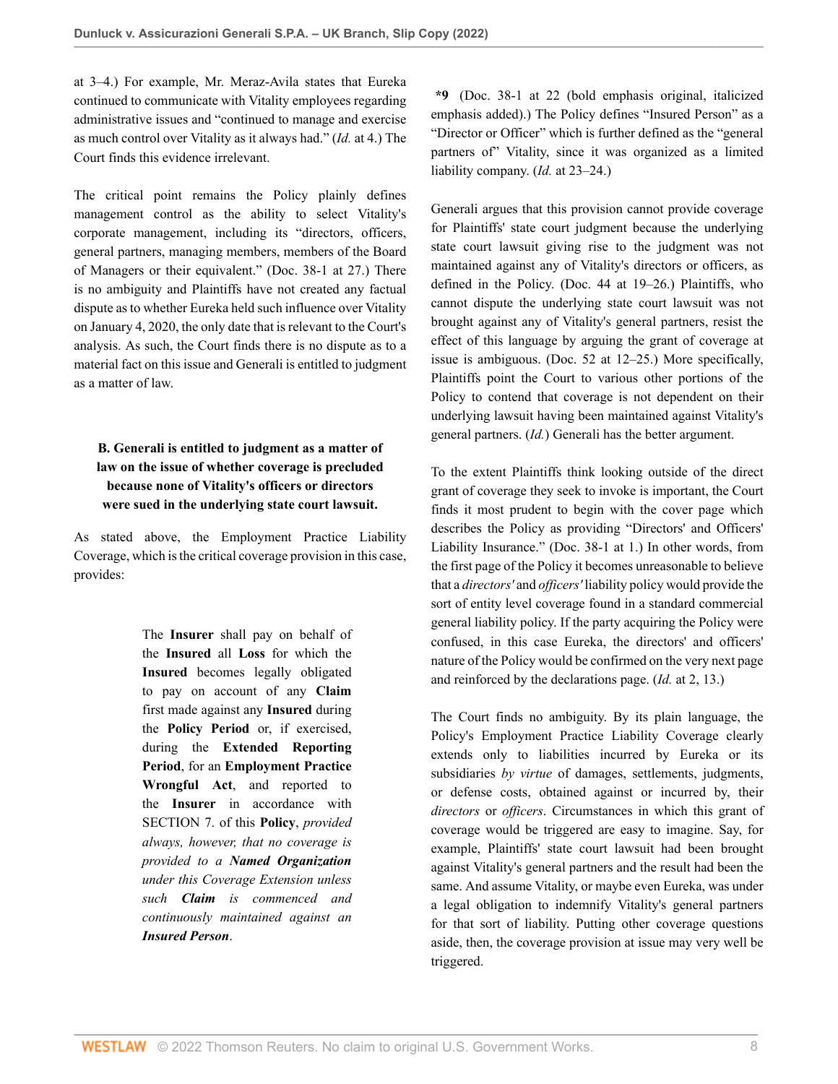at 3–4.) For example, Mr. Meraz-Avila states that Eureka continued to communicate with Vitality employees regarding administrative issues and "continued to manage and exercise as much control over Vitality as it always had." (*Id.* at 4.) The Court finds this evidence irrelevant.

The critical point remains the Policy plainly defines management control as the ability to select Vitality's corporate management, including its "directors, officers, general partners, managing members, members of the Board of Managers or their equivalent." (Doc. 38-1 at 27.) There is no ambiguity and Plaintiffs have not created any factual dispute as to whether Eureka held such influence over Vitality on January 4, 2020, the only date that is relevant to the Court's analysis. As such, the Court finds there is no dispute as to a material fact on this issue and Generali is entitled to judgment as a matter of law.

# **B. Generali is entitled to judgment as a matter of law on the issue of whether coverage is precluded because none of Vitality's officers or directors were sued in the underlying state court lawsuit.**

As stated above, the Employment Practice Liability Coverage, which is the critical coverage provision in this case, provides:

> The **Insurer** shall pay on behalf of the **Insured** all **Loss** for which the **Insured** becomes legally obligated to pay on account of any **Claim** first made against any **Insured** during the **Policy Period** or, if exercised, during the **Extended Reporting Period**, for an **Employment Practice Wrongful Act**, and reported to the **Insurer** in accordance with SECTION 7. of this **Policy**, *provided always, however, that no coverage is provided to a Named Organization under this Coverage Extension unless such Claim is commenced and continuously maintained against an Insured Person*.

**\*9** (Doc. 38-1 at 22 (bold emphasis original, italicized emphasis added).) The Policy defines "Insured Person" as a "Director or Officer" which is further defined as the "general partners of" Vitality, since it was organized as a limited liability company. (*Id.* at 23–24.)

Generali argues that this provision cannot provide coverage for Plaintiffs' state court judgment because the underlying state court lawsuit giving rise to the judgment was not maintained against any of Vitality's directors or officers, as defined in the Policy. (Doc. 44 at 19–26.) Plaintiffs, who cannot dispute the underlying state court lawsuit was not brought against any of Vitality's general partners, resist the effect of this language by arguing the grant of coverage at issue is ambiguous. (Doc. 52 at 12–25.) More specifically, Plaintiffs point the Court to various other portions of the Policy to contend that coverage is not dependent on their underlying lawsuit having been maintained against Vitality's general partners. (*Id.*) Generali has the better argument.

To the extent Plaintiffs think looking outside of the direct grant of coverage they seek to invoke is important, the Court finds it most prudent to begin with the cover page which describes the Policy as providing "Directors' and Officers' Liability Insurance." (Doc. 38-1 at 1.) In other words, from the first page of the Policy it becomes unreasonable to believe that a *directors'* and *officers'* liability policy would provide the sort of entity level coverage found in a standard commercial general liability policy. If the party acquiring the Policy were confused, in this case Eureka, the directors' and officers' nature of the Policy would be confirmed on the very next page and reinforced by the declarations page. (*Id.* at 2, 13.)

The Court finds no ambiguity. By its plain language, the Policy's Employment Practice Liability Coverage clearly extends only to liabilities incurred by Eureka or its subsidiaries *by virtue* of damages, settlements, judgments, or defense costs, obtained against or incurred by, their *directors* or *officers*. Circumstances in which this grant of coverage would be triggered are easy to imagine. Say, for example, Plaintiffs' state court lawsuit had been brought against Vitality's general partners and the result had been the same. And assume Vitality, or maybe even Eureka, was under a legal obligation to indemnify Vitality's general partners for that sort of liability. Putting other coverage questions aside, then, the coverage provision at issue may very well be triggered.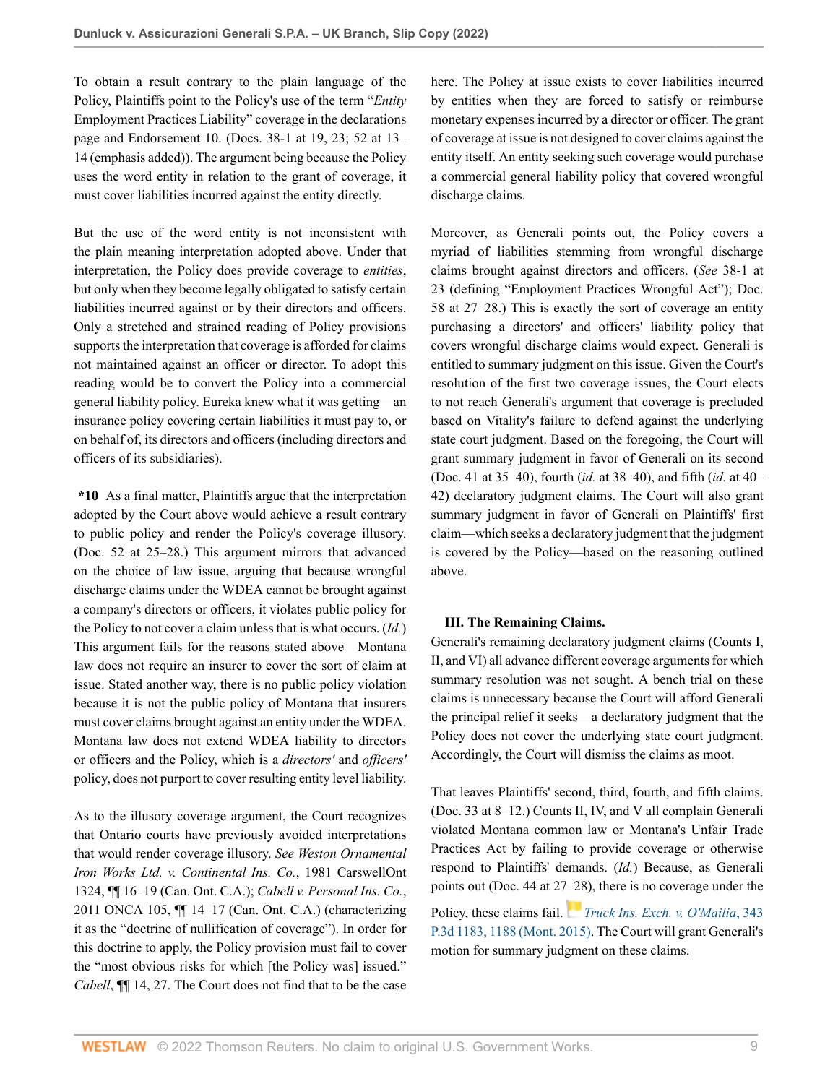To obtain a result contrary to the plain language of the Policy, Plaintiffs point to the Policy's use of the term "*Entity* Employment Practices Liability" coverage in the declarations page and Endorsement 10. (Docs. 38-1 at 19, 23; 52 at 13– 14 (emphasis added)). The argument being because the Policy uses the word entity in relation to the grant of coverage, it must cover liabilities incurred against the entity directly.

But the use of the word entity is not inconsistent with the plain meaning interpretation adopted above. Under that interpretation, the Policy does provide coverage to *entities*, but only when they become legally obligated to satisfy certain liabilities incurred against or by their directors and officers. Only a stretched and strained reading of Policy provisions supports the interpretation that coverage is afforded for claims not maintained against an officer or director. To adopt this reading would be to convert the Policy into a commercial general liability policy. Eureka knew what it was getting—an insurance policy covering certain liabilities it must pay to, or on behalf of, its directors and officers (including directors and officers of its subsidiaries).

**\*10** As a final matter, Plaintiffs argue that the interpretation adopted by the Court above would achieve a result contrary to public policy and render the Policy's coverage illusory. (Doc. 52 at 25–28.) This argument mirrors that advanced on the choice of law issue, arguing that because wrongful discharge claims under the WDEA cannot be brought against a company's directors or officers, it violates public policy for the Policy to not cover a claim unless that is what occurs. (*Id.*) This argument fails for the reasons stated above—Montana law does not require an insurer to cover the sort of claim at issue. Stated another way, there is no public policy violation because it is not the public policy of Montana that insurers must cover claims brought against an entity under the WDEA. Montana law does not extend WDEA liability to directors or officers and the Policy, which is a *directors'* and *officers'* policy, does not purport to cover resulting entity level liability.

As to the illusory coverage argument, the Court recognizes that Ontario courts have previously avoided interpretations that would render coverage illusory. *See Weston Ornamental Iron Works Ltd. v. Continental Ins. Co.*, 1981 CarswellOnt 1324, ¶¶ 16–19 (Can. Ont. C.A.); *Cabell v. Personal Ins. Co.*, 2011 ONCA 105, ¶¶ 14–17 (Can. Ont. C.A.) (characterizing it as the "doctrine of nullification of coverage"). In order for this doctrine to apply, the Policy provision must fail to cover the "most obvious risks for which [the Policy was] issued." *Cabell*, ¶¶ 14, 27. The Court does not find that to be the case here. The Policy at issue exists to cover liabilities incurred by entities when they are forced to satisfy or reimburse monetary expenses incurred by a director or officer. The grant of coverage at issue is not designed to cover claims against the entity itself. An entity seeking such coverage would purchase a commercial general liability policy that covered wrongful discharge claims.

Moreover, as Generali points out, the Policy covers a myriad of liabilities stemming from wrongful discharge claims brought against directors and officers. (*See* 38-1 at 23 (defining "Employment Practices Wrongful Act"); Doc. 58 at 27–28.) This is exactly the sort of coverage an entity purchasing a directors' and officers' liability policy that covers wrongful discharge claims would expect. Generali is entitled to summary judgment on this issue. Given the Court's resolution of the first two coverage issues, the Court elects to not reach Generali's argument that coverage is precluded based on Vitality's failure to defend against the underlying state court judgment. Based on the foregoing, the Court will grant summary judgment in favor of Generali on its second (Doc. 41 at 35–40), fourth (*id.* at 38–40), and fifth (*id.* at 40– 42) declaratory judgment claims. The Court will also grant summary judgment in favor of Generali on Plaintiffs' first claim—which seeks a declaratory judgment that the judgment is covered by the Policy—based on the reasoning outlined above.

## **III. The Remaining Claims.**

Generali's remaining declaratory judgment claims (Counts I, II, and VI) all advance different coverage arguments for which summary resolution was not sought. A bench trial on these claims is unnecessary because the Court will afford Generali the principal relief it seeks—a declaratory judgment that the Policy does not cover the underlying state court judgment. Accordingly, the Court will dismiss the claims as moot.

That leaves Plaintiffs' second, third, fourth, and fifth claims. (Doc. 33 at 8–12.) Counts II, IV, and V all complain Generali violated Montana common law or Montana's Unfair Trade Practices Act by failing to provide coverage or otherwise respond to Plaintiffs' demands. (*Id.*) Because, as Generali points out (Doc. 44 at 2[7–28](https://1.next.westlaw.com/Link/RelatedInformation/Flag?documentGuid=I0bb70963b75711e4a807ad48145ed9f1&transitionType=InlineKeyCiteFlags&originationContext=docHeaderFlag&Rank=0&ppcid=744b777ddd0e45dc953f37040da3e191&contextData=(sc.AlertsClip) )), there is no coverage under the Policy, these claims fail. *[Truck Ins. Exch. v. O'Mailia](http://www.westlaw.com/Link/Document/FullText?findType=Y&serNum=2035463524&pubNum=0004645&originatingDoc=I205a69809f7c11ecb7ceee74f6b36648&refType=RP&fi=co_pp_sp_4645_1188&originationContext=document&vr=3.0&rs=cblt1.0&transitionType=DocumentItem&contextData=(sc.AlertsClip)#co_pp_sp_4645_1188)*, 343 [P.3d 1183, 1188 \(Mont. 2015\).](http://www.westlaw.com/Link/Document/FullText?findType=Y&serNum=2035463524&pubNum=0004645&originatingDoc=I205a69809f7c11ecb7ceee74f6b36648&refType=RP&fi=co_pp_sp_4645_1188&originationContext=document&vr=3.0&rs=cblt1.0&transitionType=DocumentItem&contextData=(sc.AlertsClip)#co_pp_sp_4645_1188) The Court will grant Generali's motion for summary judgment on these claims.